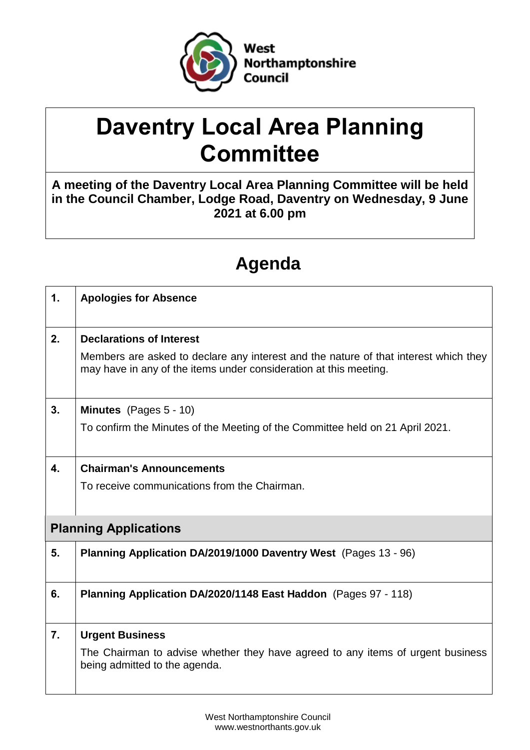

# **Daventry Local Area Planning Committee**

**A meeting of the Daventry Local Area Planning Committee will be held in the Council Chamber, Lodge Road, Daventry on Wednesday, 9 June 2021 at 6.00 pm**

# **Agenda**

| $\mathbf 1$ .                | <b>Apologies for Absence</b>                                                                                                                              |  |  |
|------------------------------|-----------------------------------------------------------------------------------------------------------------------------------------------------------|--|--|
| 2.                           | <b>Declarations of Interest</b>                                                                                                                           |  |  |
|                              | Members are asked to declare any interest and the nature of that interest which they<br>may have in any of the items under consideration at this meeting. |  |  |
| 3.                           | <b>Minutes</b> (Pages $5 - 10$ )                                                                                                                          |  |  |
|                              | To confirm the Minutes of the Meeting of the Committee held on 21 April 2021.                                                                             |  |  |
| 4.                           | <b>Chairman's Announcements</b>                                                                                                                           |  |  |
|                              | To receive communications from the Chairman.                                                                                                              |  |  |
|                              |                                                                                                                                                           |  |  |
| <b>Planning Applications</b> |                                                                                                                                                           |  |  |
| 5.                           | Planning Application DA/2019/1000 Daventry West (Pages 13 - 96)                                                                                           |  |  |
| 6.                           | Planning Application DA/2020/1148 East Haddon (Pages 97 - 118)                                                                                            |  |  |
| 7.                           | <b>Urgent Business</b>                                                                                                                                    |  |  |
|                              | The Chairman to advise whether they have agreed to any items of urgent business<br>being admitted to the agenda.                                          |  |  |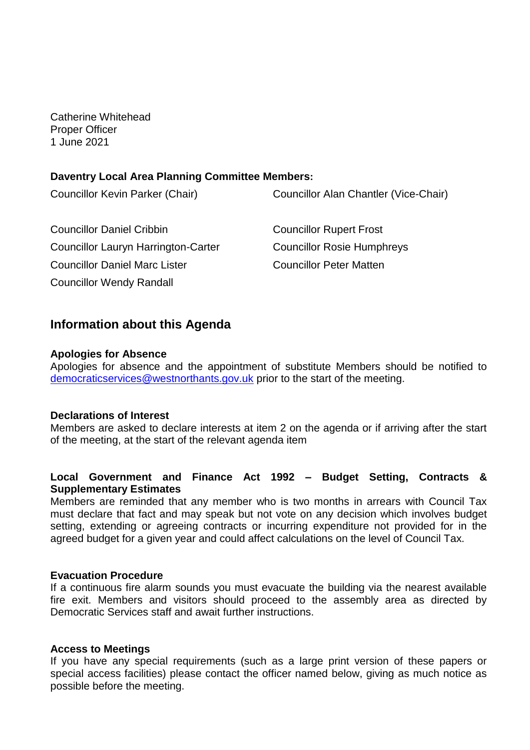Catherine Whitehead Proper Officer 1 June 2021

### **Daventry Local Area Planning Committee Members:**

| Councillor Kevin Parker (Chair)            | Councillor Alan Chantler (Vice-Chair) |
|--------------------------------------------|---------------------------------------|
| <b>Councillor Daniel Cribbin</b>           | <b>Councillor Rupert Frost</b>        |
| <b>Councillor Lauryn Harrington-Carter</b> | <b>Councillor Rosie Humphreys</b>     |
| <b>Councillor Daniel Marc Lister</b>       | <b>Councillor Peter Matten</b>        |
| <b>Councillor Wendy Randall</b>            |                                       |

# **Information about this Agenda**

#### **Apologies for Absence**

Apologies for absence and the appointment of substitute Members should be notified to [democraticservices@westnorthants.gov.uk](mailto:democraticservices@westnorthants.gov.uk) prior to the start of the meeting.

#### **Declarations of Interest**

Members are asked to declare interests at item 2 on the agenda or if arriving after the start of the meeting, at the start of the relevant agenda item

## **Local Government and Finance Act 1992 – Budget Setting, Contracts & Supplementary Estimates**

Members are reminded that any member who is two months in arrears with Council Tax must declare that fact and may speak but not vote on any decision which involves budget setting, extending or agreeing contracts or incurring expenditure not provided for in the agreed budget for a given year and could affect calculations on the level of Council Tax.

#### **Evacuation Procedure**

If a continuous fire alarm sounds you must evacuate the building via the nearest available fire exit. Members and visitors should proceed to the assembly area as directed by Democratic Services staff and await further instructions.

#### **Access to Meetings**

If you have any special requirements (such as a large print version of these papers or special access facilities) please contact the officer named below, giving as much notice as possible before the meeting.